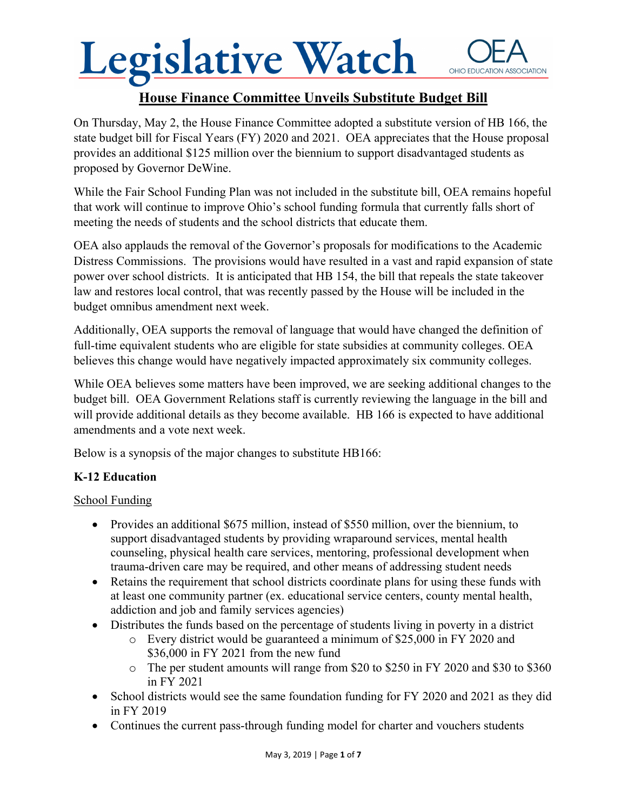### **House Finance Committee Unveils Substitute Budget Bill**

On Thursday, May 2, the House Finance Committee adopted a substitute version of HB 166, the state budget bill for Fiscal Years (FY) 2020 and 2021. OEA appreciates that the House proposal provides an additional \$125 million over the biennium to support disadvantaged students as proposed by Governor DeWine.

While the Fair School Funding Plan was not included in the substitute bill, OEA remains hopeful that work will continue to improve Ohio's school funding formula that currently falls short of meeting the needs of students and the school districts that educate them.

OEA also applauds the removal of the Governor's proposals for modifications to the Academic Distress Commissions. The provisions would have resulted in a vast and rapid expansion of state power over school districts. It is anticipated that HB 154, the bill that repeals the state takeover law and restores local control, that was recently passed by the House will be included in the budget omnibus amendment next week.

Additionally, OEA supports the removal of language that would have changed the definition of full-time equivalent students who are eligible for state subsidies at community colleges. OEA believes this change would have negatively impacted approximately six community colleges.

While OEA believes some matters have been improved, we are seeking additional changes to the budget bill. OEA Government Relations staff is currently reviewing the language in the bill and will provide additional details as they become available. HB 166 is expected to have additional amendments and a vote next week.

Below is a synopsis of the major changes to substitute HB166:

### **K-12 Education**

### School Funding

- Provides an additional \$675 million, instead of \$550 million, over the biennium, to support disadvantaged students by providing wraparound services, mental health counseling, physical health care services, mentoring, professional development when trauma-driven care may be required, and other means of addressing student needs
- Retains the requirement that school districts coordinate plans for using these funds with at least one community partner (ex. educational service centers, county mental health, addiction and job and family services agencies)
- Distributes the funds based on the percentage of students living in poverty in a district
	- o Every district would be guaranteed a minimum of \$25,000 in FY 2020 and \$36,000 in FY 2021 from the new fund
	- o The per student amounts will range from \$20 to \$250 in FY 2020 and \$30 to \$360 in FY 2021
- School districts would see the same foundation funding for FY 2020 and 2021 as they did in FY 2019
- Continues the current pass-through funding model for charter and vouchers students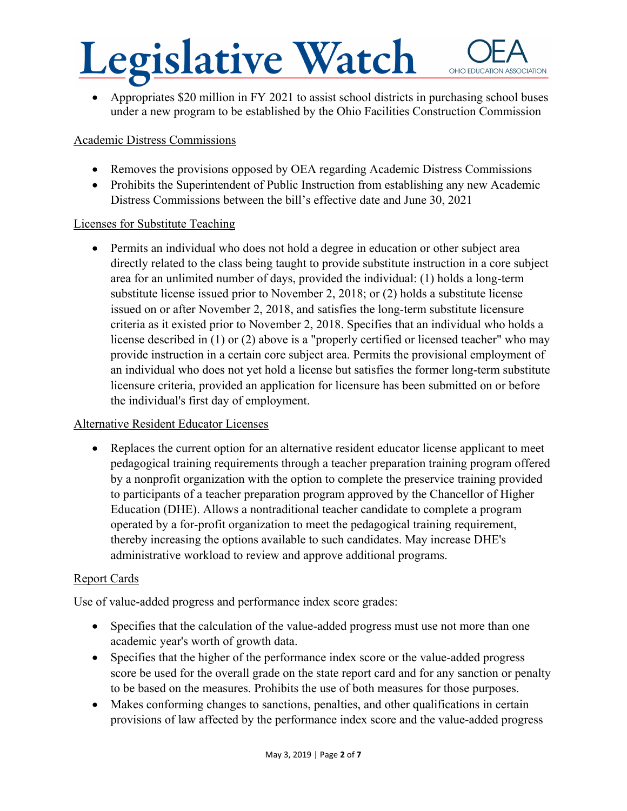Appropriates \$20 million in FY 2021 to assist school districts in purchasing school buses under a new program to be established by the Ohio Facilities Construction Commission

#### Academic Distress Commissions

- Removes the provisions opposed by OEA regarding Academic Distress Commissions
- Prohibits the Superintendent of Public Instruction from establishing any new Academic Distress Commissions between the bill's effective date and June 30, 2021

#### Licenses for Substitute Teaching

 Permits an individual who does not hold a degree in education or other subject area directly related to the class being taught to provide substitute instruction in a core subject area for an unlimited number of days, provided the individual: (1) holds a long-term substitute license issued prior to November 2, 2018; or (2) holds a substitute license issued on or after November 2, 2018, and satisfies the long-term substitute licensure criteria as it existed prior to November 2, 2018. Specifies that an individual who holds a license described in (1) or (2) above is a "properly certified or licensed teacher" who may provide instruction in a certain core subject area. Permits the provisional employment of an individual who does not yet hold a license but satisfies the former long-term substitute licensure criteria, provided an application for licensure has been submitted on or before the individual's first day of employment.

#### Alternative Resident Educator Licenses

• Replaces the current option for an alternative resident educator license applicant to meet pedagogical training requirements through a teacher preparation training program offered by a nonprofit organization with the option to complete the preservice training provided to participants of a teacher preparation program approved by the Chancellor of Higher Education (DHE). Allows a nontraditional teacher candidate to complete a program operated by a for-profit organization to meet the pedagogical training requirement, thereby increasing the options available to such candidates. May increase DHE's administrative workload to review and approve additional programs.

#### Report Cards

Use of value-added progress and performance index score grades:

- Specifies that the calculation of the value-added progress must use not more than one academic year's worth of growth data.
- Specifies that the higher of the performance index score or the value-added progress score be used for the overall grade on the state report card and for any sanction or penalty to be based on the measures. Prohibits the use of both measures for those purposes.
- Makes conforming changes to sanctions, penalties, and other qualifications in certain provisions of law affected by the performance index score and the value-added progress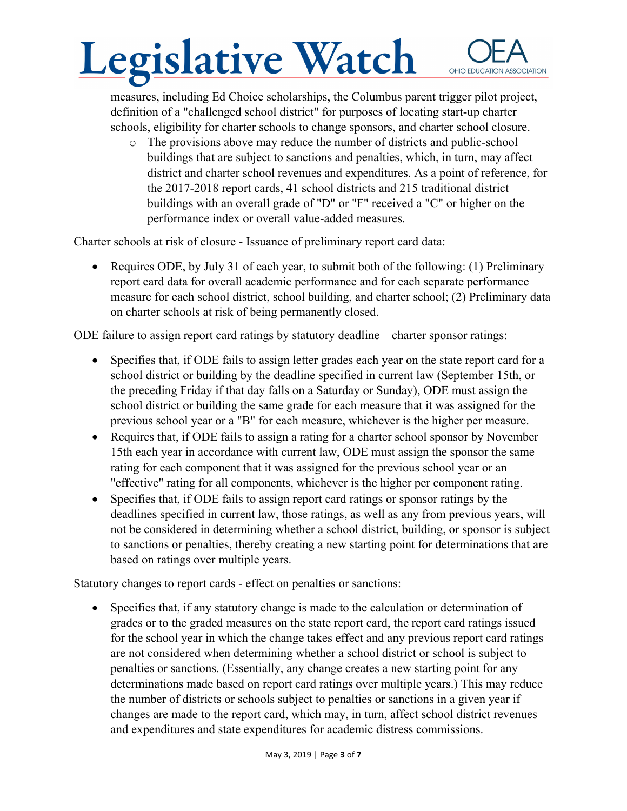measures, including Ed Choice scholarships, the Columbus parent trigger pilot project, definition of a "challenged school district" for purposes of locating start-up charter schools, eligibility for charter schools to change sponsors, and charter school closure.

o The provisions above may reduce the number of districts and public-school buildings that are subject to sanctions and penalties, which, in turn, may affect district and charter school revenues and expenditures. As a point of reference, for the 2017-2018 report cards, 41 school districts and 215 traditional district buildings with an overall grade of "D" or "F" received a "C" or higher on the performance index or overall value-added measures.

Charter schools at risk of closure - Issuance of preliminary report card data:

• Requires ODE, by July 31 of each year, to submit both of the following: (1) Preliminary report card data for overall academic performance and for each separate performance measure for each school district, school building, and charter school; (2) Preliminary data on charter schools at risk of being permanently closed.

ODE failure to assign report card ratings by statutory deadline – charter sponsor ratings:

- Specifies that, if ODE fails to assign letter grades each year on the state report card for a school district or building by the deadline specified in current law (September 15th, or the preceding Friday if that day falls on a Saturday or Sunday), ODE must assign the school district or building the same grade for each measure that it was assigned for the previous school year or a "B" for each measure, whichever is the higher per measure.
- Requires that, if ODE fails to assign a rating for a charter school sponsor by November 15th each year in accordance with current law, ODE must assign the sponsor the same rating for each component that it was assigned for the previous school year or an "effective" rating for all components, whichever is the higher per component rating.
- Specifies that, if ODE fails to assign report card ratings or sponsor ratings by the deadlines specified in current law, those ratings, as well as any from previous years, will not be considered in determining whether a school district, building, or sponsor is subject to sanctions or penalties, thereby creating a new starting point for determinations that are based on ratings over multiple years.

Statutory changes to report cards - effect on penalties or sanctions:

• Specifies that, if any statutory change is made to the calculation or determination of grades or to the graded measures on the state report card, the report card ratings issued for the school year in which the change takes effect and any previous report card ratings are not considered when determining whether a school district or school is subject to penalties or sanctions. (Essentially, any change creates a new starting point for any determinations made based on report card ratings over multiple years.) This may reduce the number of districts or schools subject to penalties or sanctions in a given year if changes are made to the report card, which may, in turn, affect school district revenues and expenditures and state expenditures for academic distress commissions.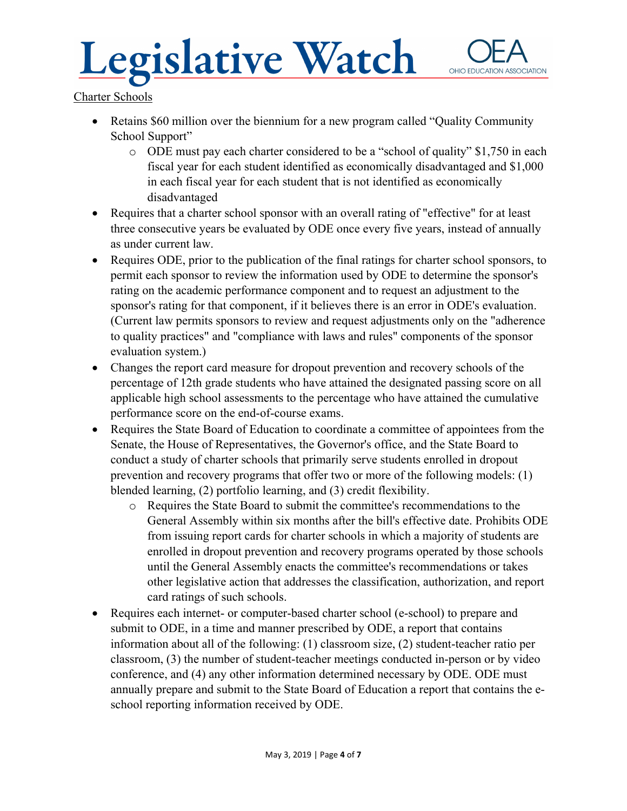Charter Schools

- Retains \$60 million over the biennium for a new program called "Quality Community" School Support"
	- o ODE must pay each charter considered to be a "school of quality" \$1,750 in each fiscal year for each student identified as economically disadvantaged and \$1,000 in each fiscal year for each student that is not identified as economically disadvantaged
- Requires that a charter school sponsor with an overall rating of "effective" for at least three consecutive years be evaluated by ODE once every five years, instead of annually as under current law.
- Requires ODE, prior to the publication of the final ratings for charter school sponsors, to permit each sponsor to review the information used by ODE to determine the sponsor's rating on the academic performance component and to request an adjustment to the sponsor's rating for that component, if it believes there is an error in ODE's evaluation. (Current law permits sponsors to review and request adjustments only on the "adherence to quality practices" and "compliance with laws and rules" components of the sponsor evaluation system.)
- Changes the report card measure for dropout prevention and recovery schools of the percentage of 12th grade students who have attained the designated passing score on all applicable high school assessments to the percentage who have attained the cumulative performance score on the end-of-course exams.
- Requires the State Board of Education to coordinate a committee of appointees from the Senate, the House of Representatives, the Governor's office, and the State Board to conduct a study of charter schools that primarily serve students enrolled in dropout prevention and recovery programs that offer two or more of the following models: (1) blended learning, (2) portfolio learning, and (3) credit flexibility.
	- o Requires the State Board to submit the committee's recommendations to the General Assembly within six months after the bill's effective date. Prohibits ODE from issuing report cards for charter schools in which a majority of students are enrolled in dropout prevention and recovery programs operated by those schools until the General Assembly enacts the committee's recommendations or takes other legislative action that addresses the classification, authorization, and report card ratings of such schools.
- Requires each internet- or computer-based charter school (e-school) to prepare and submit to ODE, in a time and manner prescribed by ODE, a report that contains information about all of the following: (1) classroom size, (2) student-teacher ratio per classroom, (3) the number of student-teacher meetings conducted in-person or by video conference, and (4) any other information determined necessary by ODE. ODE must annually prepare and submit to the State Board of Education a report that contains the eschool reporting information received by ODE.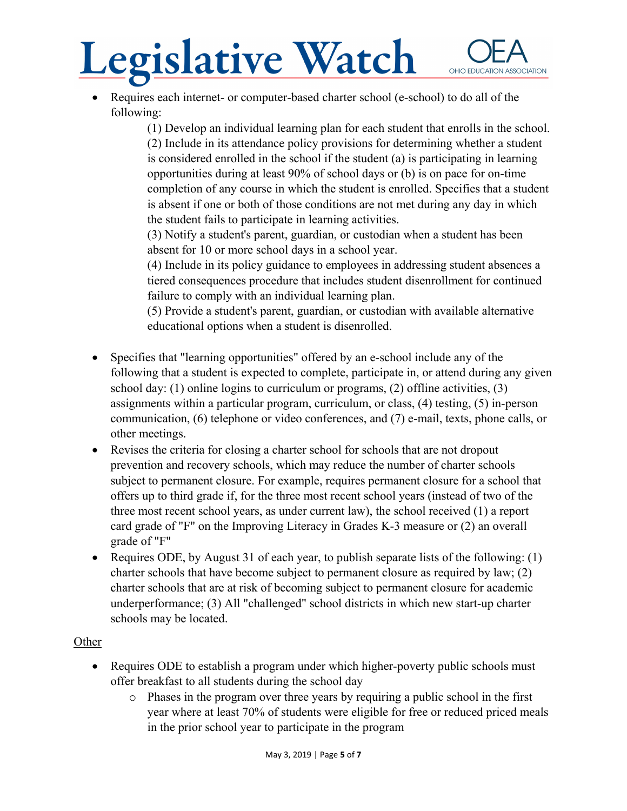Requires each internet- or computer-based charter school (e-school) to do all of the following:

> (1) Develop an individual learning plan for each student that enrolls in the school. (2) Include in its attendance policy provisions for determining whether a student is considered enrolled in the school if the student (a) is participating in learning opportunities during at least 90% of school days or (b) is on pace for on-time completion of any course in which the student is enrolled. Specifies that a student is absent if one or both of those conditions are not met during any day in which the student fails to participate in learning activities.

(3) Notify a student's parent, guardian, or custodian when a student has been absent for 10 or more school days in a school year.

(4) Include in its policy guidance to employees in addressing student absences a tiered consequences procedure that includes student disenrollment for continued failure to comply with an individual learning plan.

(5) Provide a student's parent, guardian, or custodian with available alternative educational options when a student is disenrolled.

- Specifies that "learning opportunities" offered by an e-school include any of the following that a student is expected to complete, participate in, or attend during any given school day: (1) online logins to curriculum or programs, (2) offline activities, (3) assignments within a particular program, curriculum, or class, (4) testing, (5) in-person communication, (6) telephone or video conferences, and (7) e-mail, texts, phone calls, or other meetings.
- Revises the criteria for closing a charter school for schools that are not dropout prevention and recovery schools, which may reduce the number of charter schools subject to permanent closure. For example, requires permanent closure for a school that offers up to third grade if, for the three most recent school years (instead of two of the three most recent school years, as under current law), the school received (1) a report card grade of "F" on the Improving Literacy in Grades K-3 measure or (2) an overall grade of "F"
- Requires ODE, by August 31 of each year, to publish separate lists of the following:  $(1)$ charter schools that have become subject to permanent closure as required by law; (2) charter schools that are at risk of becoming subject to permanent closure for academic underperformance; (3) All "challenged" school districts in which new start-up charter schools may be located.

### **Other**

- Requires ODE to establish a program under which higher-poverty public schools must offer breakfast to all students during the school day
	- o Phases in the program over three years by requiring a public school in the first year where at least 70% of students were eligible for free or reduced priced meals in the prior school year to participate in the program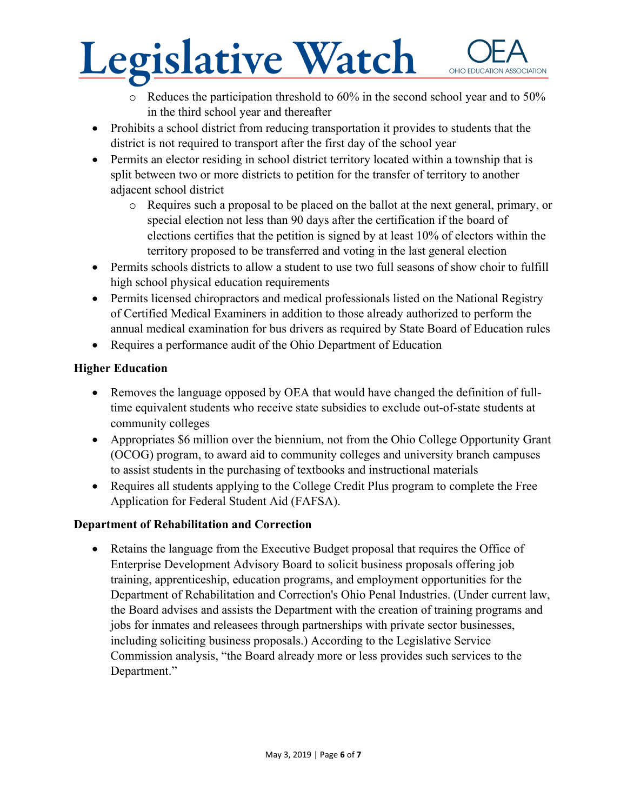- o Reduces the participation threshold to 60% in the second school year and to 50% in the third school year and thereafter
- Prohibits a school district from reducing transportation it provides to students that the district is not required to transport after the first day of the school year
- Permits an elector residing in school district territory located within a township that is split between two or more districts to petition for the transfer of territory to another adjacent school district
	- o Requires such a proposal to be placed on the ballot at the next general, primary, or special election not less than 90 days after the certification if the board of elections certifies that the petition is signed by at least 10% of electors within the territory proposed to be transferred and voting in the last general election
- Permits schools districts to allow a student to use two full seasons of show choir to fulfill high school physical education requirements
- Permits licensed chiropractors and medical professionals listed on the National Registry of Certified Medical Examiners in addition to those already authorized to perform the annual medical examination for bus drivers as required by State Board of Education rules
- Requires a performance audit of the Ohio Department of Education

### **Higher Education**

- Removes the language opposed by OEA that would have changed the definition of fulltime equivalent students who receive state subsidies to exclude out-of-state students at community colleges
- Appropriates \$6 million over the biennium, not from the Ohio College Opportunity Grant (OCOG) program, to award aid to community colleges and university branch campuses to assist students in the purchasing of textbooks and instructional materials
- Requires all students applying to the College Credit Plus program to complete the Free Application for Federal Student Aid (FAFSA).

### **Department of Rehabilitation and Correction**

• Retains the language from the Executive Budget proposal that requires the Office of Enterprise Development Advisory Board to solicit business proposals offering job training, apprenticeship, education programs, and employment opportunities for the Department of Rehabilitation and Correction's Ohio Penal Industries. (Under current law, the Board advises and assists the Department with the creation of training programs and jobs for inmates and releasees through partnerships with private sector businesses, including soliciting business proposals.) According to the Legislative Service Commission analysis, "the Board already more or less provides such services to the Department."